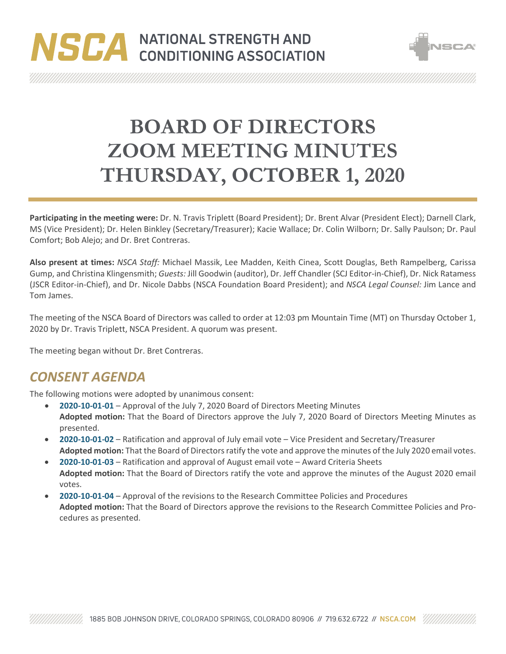# NSCA NATIONAL STRENGTH AND



**BOARD OF DIRECTORS ZOOM MEETING MINUTES THURSDAY, OCTOBER 1, 2020**

**Participating in the meeting were:** Dr. N. Travis Triplett (Board President); Dr. Brent Alvar (President Elect); Darnell Clark, MS (Vice President); Dr. Helen Binkley (Secretary/Treasurer); Kacie Wallace; Dr. Colin Wilborn; Dr. Sally Paulson; Dr. Paul Comfort; Bob Alejo; and Dr. Bret Contreras.

**Also present at times:** *NSCA Staff:* Michael Massik, Lee Madden, Keith Cinea, Scott Douglas, Beth Rampelberg, Carissa Gump, and Christina Klingensmith; *Guests:* Jill Goodwin (auditor), Dr. Jeff Chandler (SCJ Editor-in-Chief), Dr. Nick Ratamess (JSCR Editor-in-Chief), and Dr. Nicole Dabbs (NSCA Foundation Board President); and *NSCA Legal Counsel:* Jim Lance and Tom James.

The meeting of the NSCA Board of Directors was called to order at 12:03 pm Mountain Time (MT) on Thursday October 1, 2020 by Dr. Travis Triplett, NSCA President. A quorum was present.

The meeting began without Dr. Bret Contreras.

# *CONSENT AGENDA*

The following motions were adopted by unanimous consent:

- **2020-10-01-01** Approval of the July 7, 2020 Board of Directors Meeting Minutes **Adopted motion:** That the Board of Directors approve the July 7, 2020 Board of Directors Meeting Minutes as presented.
- **2020-10-01-02** Ratification and approval of July email vote Vice President and Secretary/Treasurer **Adopted motion:** That the Board of Directors ratify the vote and approve the minutes of the July 2020 email votes.
- **2020-10-01-03** Ratification and approval of August email vote Award Criteria Sheets **Adopted motion:** That the Board of Directors ratify the vote and approve the minutes of the August 2020 email votes.
- **2020-10-01-04** Approval of the revisions to the Research Committee Policies and Procedures **Adopted motion:** That the Board of Directors approve the revisions to the Research Committee Policies and Procedures as presented.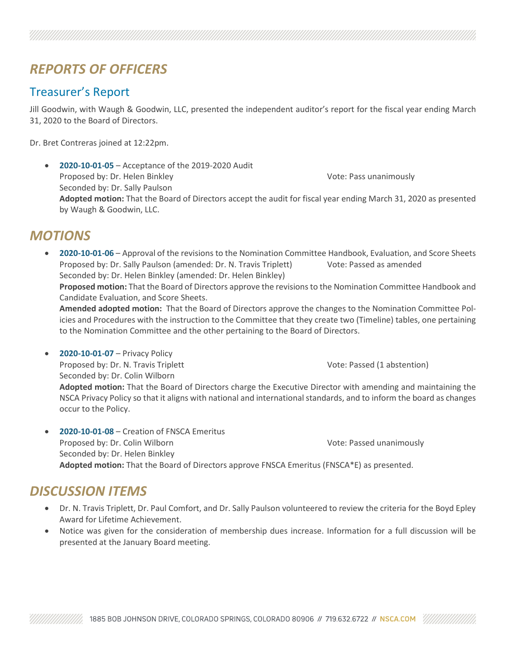# *REPORTS OF OFFICERS*

#### Treasurer's Report

Jill Goodwin, with Waugh & Goodwin, LLC, presented the independent auditor's report for the fiscal year ending March 31, 2020 to the Board of Directors.

Dr. Bret Contreras joined at 12:22pm.

• **2020-10-01-05** – Acceptance of the 2019-2020 Audit Proposed by: Dr. Helen Binkley Vote: Pass unanimously Seconded by: Dr. Sally Paulson **Adopted motion:** That the Board of Directors accept the audit for fiscal year ending March 31, 2020 as presented by Waugh & Goodwin, LLC.

#### *MOTIONS*

• **2020-10-01-06** – Approval of the revisions to the Nomination Committee Handbook, Evaluation, and Score Sheets Proposed by: Dr. Sally Paulson (amended: Dr. N. Travis Triplett) Vote: Passed as amended Seconded by: Dr. Helen Binkley (amended: Dr. Helen Binkley) **Proposed motion:** That the Board of Directors approve the revisions to the Nomination Committee Handbook and Candidate Evaluation, and Score Sheets. **Amended adopted motion:** That the Board of Directors approve the changes to the Nomination Committee Policies and Procedures with the instruction to the Committee that they create two (Timeline) tables, one pertaining to the Nomination Committee and the other pertaining to the Board of Directors.

• **2020-10-01-07** – Privacy Policy Proposed by: Dr. N. Travis Triplett November 2012 1: Note: Passed (1 abstention) Seconded by: Dr. Colin Wilborn **Adopted motion:** That the Board of Directors charge the Executive Director with amending and maintaining the NSCA Privacy Policy so that it aligns with national and international standards, and to inform the board as changes occur to the Policy.

• **2020-10-01-08** – Creation of FNSCA Emeritus Proposed by: Dr. Colin Wilborn Vote: Passed unanimously Seconded by: Dr. Helen Binkley **Adopted motion:** That the Board of Directors approve FNSCA Emeritus (FNSCA\*E) as presented.

## *DISCUSSION ITEMS*

- Dr. N. Travis Triplett, Dr. Paul Comfort, and Dr. Sally Paulson volunteered to review the criteria for the Boyd Epley Award for Lifetime Achievement.
- Notice was given for the consideration of membership dues increase. Information for a full discussion will be presented at the January Board meeting.